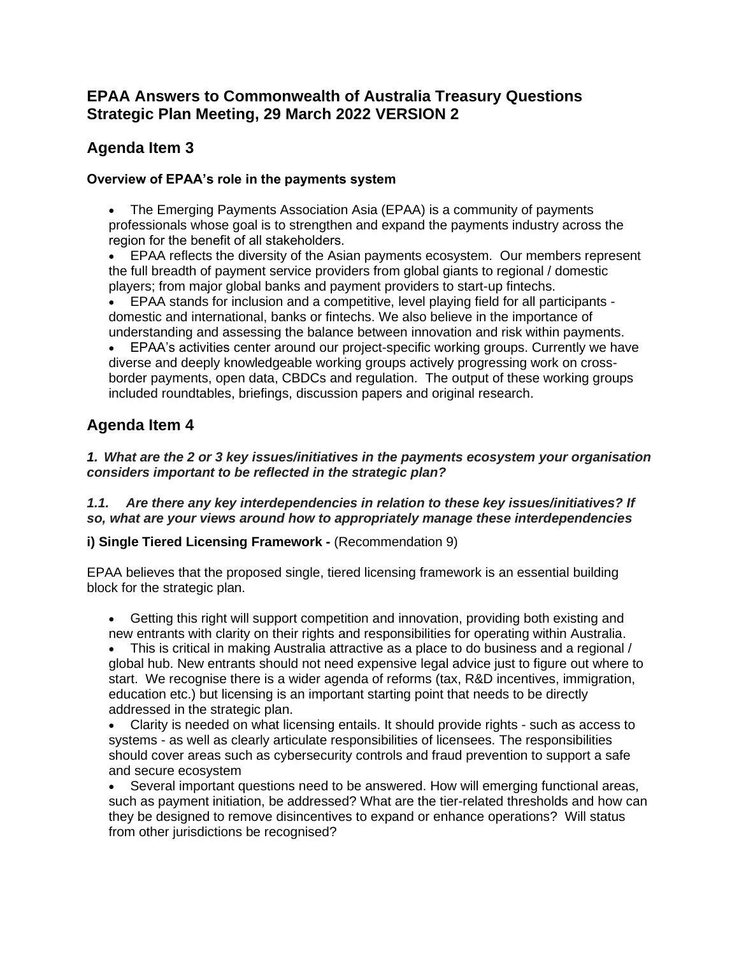## **EPAA Answers to Commonwealth of Australia Treasury Questions Strategic Plan Meeting, 29 March 2022 VERSION 2**

# **Agenda Item 3**

## **Overview of EPAA's role in the payments system**

• The Emerging Payments Association Asia (EPAA) is a community of payments professionals whose goal is to strengthen and expand the payments industry across the region for the benefit of all stakeholders. 

• EPAA reflects the diversity of the Asian payments ecosystem. Our members represent the full breadth of payment service providers from global giants to regional / domestic players; from major global banks and payment providers to start-up fintechs.

• EPAA stands for inclusion and a competitive, level playing field for all participants domestic and international, banks or fintechs. We also believe in the importance of understanding and assessing the balance between innovation and risk within payments.

• EPAA's activities center around our project-specific working groups. Currently we have diverse and deeply knowledgeable working groups actively progressing work on crossborder payments, open data, CBDCs and regulation. The output of these working groups included roundtables, briefings, discussion papers and original research.

# **Agenda Item 4**

*1. What are the 2 or 3 key issues/initiatives in the payments ecosystem your organisation considers important to be reflected in the strategic plan?*

*1.1. Are there any key interdependencies in relation to these key issues/initiatives? If so, what are your views around how to appropriately manage these interdependencies*

## **i) Single Tiered Licensing Framework -** (Recommendation 9)

EPAA believes that the proposed single, tiered licensing framework is an essential building block for the strategic plan.

• Getting this right will support competition and innovation, providing both existing and new entrants with clarity on their rights and responsibilities for operating within Australia.

• This is critical in making Australia attractive as a place to do business and a regional / global hub. New entrants should not need expensive legal advice just to figure out where to start. We recognise there is a wider agenda of reforms (tax, R&D incentives, immigration, education etc.) but licensing is an important starting point that needs to be directly addressed in the strategic plan.

• Clarity is needed on what licensing entails. It should provide rights - such as access to systems - as well as clearly articulate responsibilities of licensees. The responsibilities should cover areas such as cybersecurity controls and fraud prevention to support a safe and secure ecosystem

• Several important questions need to be answered. How will emerging functional areas, such as payment initiation, be addressed? What are the tier-related thresholds and how can they be designed to remove disincentives to expand or enhance operations? Will status from other jurisdictions be recognised?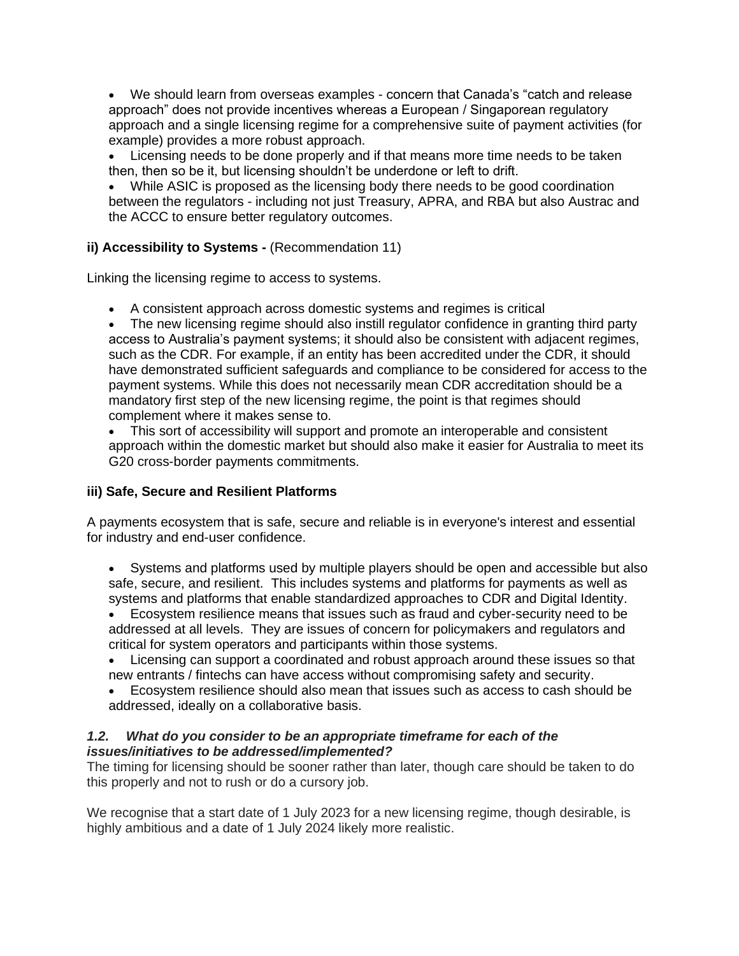• We should learn from overseas examples - concern that Canada's "catch and release approach" does not provide incentives whereas a European / Singaporean regulatory approach and a single licensing regime for a comprehensive suite of payment activities (for example) provides a more robust approach.

• Licensing needs to be done properly and if that means more time needs to be taken then, then so be it, but licensing shouldn't be underdone or left to drift.

While ASIC is proposed as the licensing body there needs to be good coordination between the regulators - including not just Treasury, APRA, and RBA but also Austrac and the ACCC to ensure better regulatory outcomes.

#### **ii) Accessibility to Systems -** (Recommendation 11)

Linking the licensing regime to access to systems.

• A consistent approach across domestic systems and regimes is critical

The new licensing regime should also instill regulator confidence in granting third party access to Australia's payment systems; it should also be consistent with adjacent regimes, such as the CDR. For example, if an entity has been accredited under the CDR, it should have demonstrated sufficient safeguards and compliance to be considered for access to the payment systems. While this does not necessarily mean CDR accreditation should be a mandatory first step of the new licensing regime, the point is that regimes should complement where it makes sense to.

• This sort of accessibility will support and promote an interoperable and consistent approach within the domestic market but should also make it easier for Australia to meet its G20 cross-border payments commitments.

## **iii) Safe, Secure and Resilient Platforms**

A payments ecosystem that is safe, secure and reliable is in everyone's interest and essential for industry and end-user confidence.

• Systems and platforms used by multiple players should be open and accessible but also safe, secure, and resilient. This includes systems and platforms for payments as well as systems and platforms that enable standardized approaches to CDR and Digital Identity.

- Ecosystem resilience means that issues such as fraud and cyber-security need to be addressed at all levels. They are issues of concern for policymakers and regulators and critical for system operators and participants within those systems.
- Licensing can support a coordinated and robust approach around these issues so that new entrants / fintechs can have access without compromising safety and security.
- Ecosystem resilience should also mean that issues such as access to cash should be addressed, ideally on a collaborative basis.

#### *1.2. What do you consider to be an appropriate timeframe for each of the issues/initiatives to be addressed/implemented?*

The timing for licensing should be sooner rather than later, though care should be taken to do this properly and not to rush or do a cursory job.

We recognise that a start date of 1 July 2023 for a new licensing regime, though desirable, is highly ambitious and a date of 1 July 2024 likely more realistic.